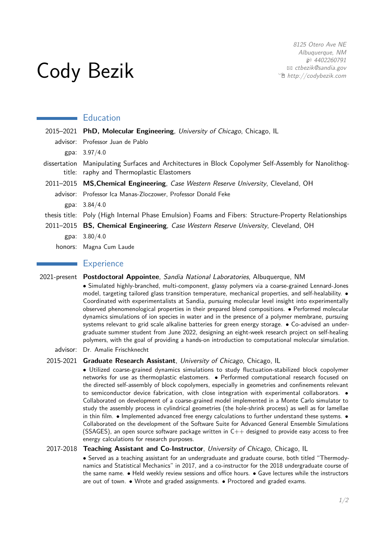# Cody Bezik

8125 Otero Ave NE Albuquerque, NM  $$$  4402260791 B [ctbezik@sandia.gov](mailto:ctbezik@sandia.gov) Í [http://codybezik.com](https://http://codybezik.com)

# **Education**

2015–2021 **PhD, Molecular Engineering**, University of Chicago, Chicago, IL

- advisor: Professor Juan de Pablo gpa: 3.97/4.0
- dissertation Manipulating Surfaces and Architectures in Block Copolymer Self-Assembly for Nanolithogtitle: raphy and Thermoplastic Elastomers
- 2011–2015 **MS,Chemical Engineering**, Case Western Reserve University, Cleveland, OH advisor: Professor Ica Manas-Zloczower, Professor Donald Feke gpa: 3.84/4.0
- thesis title: Poly (High Internal Phase Emulsion) Foams and Fibers: Structure-Property Relationships
- 2011–2015 **BS, Chemical Engineering**, Case Western Reserve University, Cleveland, OH gpa: 3.80/4.0
	- honors: Magna Cum Laude
		-

# **Experience**

## 2021-present **Postdoctoral Appointee**, Sandia National Laboratories, Albuquerque, NM

• Simulated highly-branched, multi-component, glassy polymers via a coarse-grained Lennard-Jones model, targeting tailored glass transition temperature, mechanical properties, and self-healability. • Coordinated with experimentalists at Sandia, pursuing molecular level insight into experimentally observed phenomenological properties in their prepared blend compositions. • Performed molecular dynamics simulations of ion species in water and in the presence of a polymer membrane, pursuing systems relevant to grid scale alkaline batteries for green energy storage. • Co-advised an undergraduate summer student from June 2022, designing an eight-week research project on self-healing polymers, with the goal of providing a hands-on introduction to computational molecular simulation.

advisor: Dr. Amalie Frischknecht

## 2015-2021 **Graduate Research Assistant**, University of Chicago, Chicago, IL

• Utilized coarse-grained dynamics simulations to study fluctuation-stabilized block copolymer networks for use as thermoplastic elastomers. • Performed computational research focused on the directed self-assembly of block copolymers, especially in geometries and confinements relevant to semiconductor device fabrication, with close integration with experimental collaborators.  $\bullet$ Collaborated on development of a coarse-grained model implemented in a Monte Carlo simulator to study the assembly process in cylindrical geometries (the hole-shrink process) as well as for lamellae in thin film. • Implemented advanced free energy calculations to further understand these systems. • Collaborated on the development of the Software Suite for Advanced General Ensemble Simulations (SSAGES), an open source software package written in  $C++$  designed to provide easy access to free energy calculations for research purposes.

## 2017-2018 **Teaching Assistant and Co-Instructor**, University of Chicago, Chicago, IL

• Served as a teaching assistant for an undergraduate and graduate course, both titled "Thermodynamics and Statistical Mechanics" in 2017, and a co-instructor for the 2018 undergraduate course of the same name. • Held weekly review sessions and office hours. • Gave lectures while the instructors are out of town. • Wrote and graded assignments. • Proctored and graded exams.